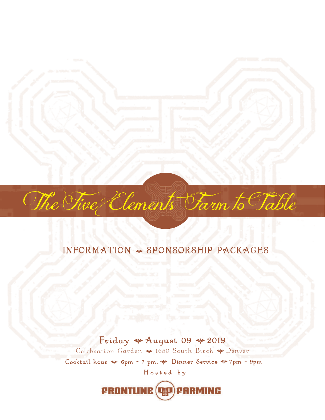

## INFORMATION + SPONSORSHIP PACKAGES

Hosted by Friday \* August 09 \* 2019 Celebration Garden \* 1650 South Birch \* Denver Cocktail hour  $\psi$  6pm - 7 pm.  $\Psi$  Dinner Service  $\Psi$  7pm - 9pm

**FRONTLINE (DE) FRRMING**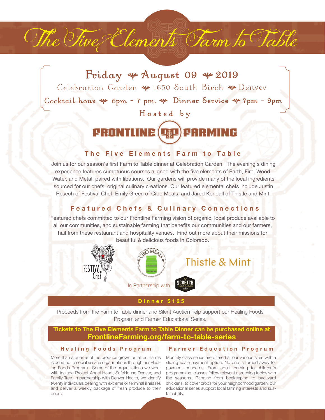Hosted by Friday  $\ast$  August 09  $\ast$  2019 Celebration Garden \* 1650 South Birch \* Denver Cocktail hour  $\psi$  6pm - 7 pm.  $\psi$  Dinner Service  $\psi$  7pm - 9pm

The Five Elements Farm to Table

## **FRONTLINE (DAL CARMING**

#### **The Five Elements Farm to Table**

Join us for our season's first Farm to Table dinner at Celebration Garden. The evening's dining experience features sumptuous courses aligned with the five elements of Earth, Fire, Wood, Water, and Metal, paired with libations. Our gardens will provide many of the local ingredients sourced for our chefs' original culinary creations. Our featured elemental chefs include Justin Resech of Festival Chef, Emily Green of Cibo Meals, and Jared Kendall of Thistle and Mint.

### **Featured Chefs & Culinary Connections**

Featured chefs committed to our Frontline Farming vision of organic, local produce available to all our communities, and sustainable farming that benefits our communities and our farmers, hail from these restaurant and hospitality venues. Find out more about their missions for beautiful & delicious foods in Colorado.





#### **Dinner \$125**

Proceeds from the Farm to Table dinner and Silent Auction help support our Healing Foods Program and Farmer Educational Series.

#### **Tickets to The Five Elements Farm to Table Dinner can be purchased online at FrontlineFarming.org/farm-to-table-series**

#### **Healing Foods Program**

More than a quarter of the produce grown on all our farms Monthly class series are offered at our various sites with a is donated to social service organizations through our Healing Foods Program. Some of the organizations we work with include Project Angel Heart, SafeHouse Denver, and Family Tree. In partnership with Denver Health, we identify twenty individuals dealing with extreme or terminal illnesses and deliver a weekly package of fresh produce to their doors.

#### **Farmer Education Program**

sliding scale payment option. No one is turned away for payment concerns. From adult learning to children's programming, classes follow relevant gardening topics with the seasons. Ranging from beekeeping to backyard chickens, to cover crops for your neighborhood garden, our educational series support local farming interests and sustainability.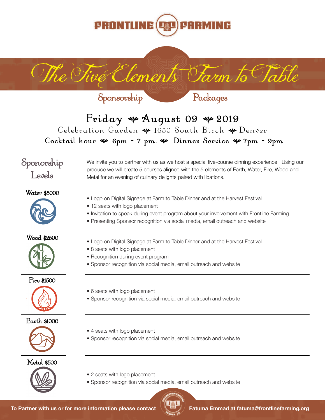

# Friday  $*$  August 09  $*$  2019 Celebration Garden \* 1650 South Birch \* Denver Cocktail hour  $\psi$  6pm - 7 pm.  $\Psi$  Dinner Service  $\Psi$  7pm - 9pm

The Five Clements Farm to Table

Metal for an evening of culinary delights paired with libations.

Sponorship Levels

Water \$5000







Fire \$1500







Metal \$500



• Logo on Digital Signage at Farm to Table Dinner and at the Harvest Festival • 12 seats with logo placement

• Invitation to speak during event program about your involvement with Frontline Farming

We invite you to partner with us as we host a special five-course dinning experience. Using our produce we will create 5 courses aligned with the 5 elements of Earth, Water, Fire, Wood and

- Presenting Sponsor recognition via social media, email outreach and website
- Logo on Digital Signage at Farm to Table Dinner and at the Harvest Festival
- 8 seats with logo placement

Sponsorship

- Recognition during event program
- Sponsor recognition via social media, email outreach and website
- 6 seats with logo placement
- Sponsor recognition via social media, email outreach and website
- 4 seats with logo placement
- Sponsor recognition via social media, email outreach and website
- 2 seats with logo placement
- Sponsor recognition via social media, email outreach and website